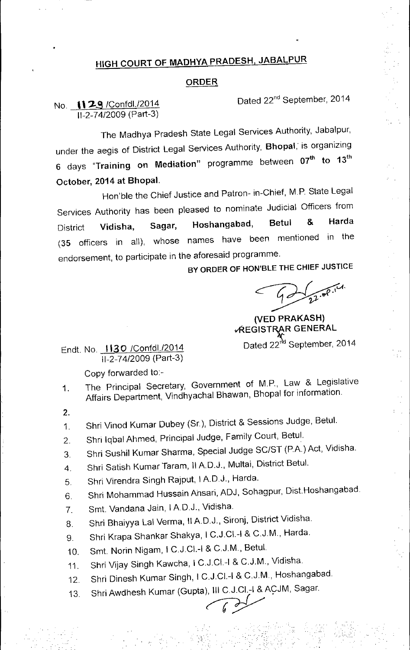## HIGH COURT OF MADHYA PRADESH, JABALPUR

## ORDER

Dated 22<sup>nd</sup> September, 2014

## No. 1129 /Confdl./2014 11-2-74/2009(Part-3)

The Madhya Pradesh State Legal Services Authority, Jabalpur, under the aegis of District Legal Services Authority, Bhopal, is organizing  $\tilde{\epsilon}$  days "Training on Mediation" programme between 07<sup>th</sup> to 13<sup>th</sup> October, 2014 at Bhopal.

Hon'ble the Chief Justice and Patron- in-Chief, M.P. State Legal Services Authority has been pleased to nominate Judicial Officers from District Vidisha, Sagar, Hoshangabad, Betul & Harda (35 officers in all), whose names have been mentioned in the endorsement, to participate in the aforesaid programme.

BY ORDER OF HON'BLE THE CHIEF JUSTICE

(VED PRAKASH) *VREGISTRAR GENERAL* 

Dated 22<sup>nd</sup> September, 2014

Endt. No. 1130 /Confd1./2014 11-2-74/2009(Part-3)

Copy forwarded to:-

- 1. The Principal Secretary, Government of M.P., Law & Legislative Affairs Department, Vindhyachal Bhawan, Bhopal for information.
- 2.
- 1. Shri Vinod Kumar Dubey (Sr.), District & Sessions Judge, Betul.
- 2. Shri Iqbal Ahmed, Principal Judge, Family Court, Betul.
- 3. Shri Sushil Kumar Sharma, Special Judge SC/ST (P.A.) Act, Vidisha.
- 4. Shri Satish Kumar Taram, II A.D.J., Multai, District Betul.
- 5. Shri Virendra Singh Rajput, I A.DJ., Harda.
- 6 Shri Mohammad Hussain Ansari, ADJ, Sohagpur, Dist.Hoshangabad
- 7. Smt. Vandana Jain, I AD.J., Vidisha.
- 8. Shri Bhaiyya Lal Verma, II A.D.J., Sironj, District Vidisha.
- 9. Shri Krapa Shankar Shakya, I C.J.CI.-I & C.J.M., Harda.
- 10. Smt. Norin Nigam, I C.JCI.-I & C.J.M., Betul.
- 11 Shri Vijay Singh Kawcha, I C.J.CI.-I & C.J.M., Vidisha
- 12. Shri Dinesh Kumar Singh, I C.J.CI.-I & C.J.M, Hoshangabad

'.r.' ....  $\mathcal{N}$ 

13. Shri Awdhesh Kumar (Gupta), III C.J.CI.-I & ACJM, Sagar.